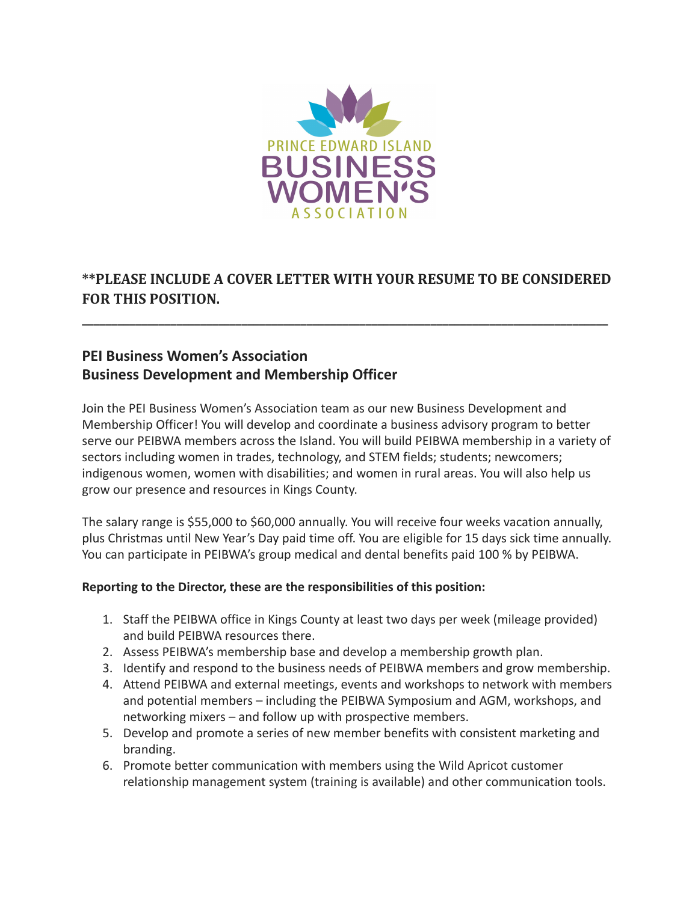

# **\*\*PLEASE INCLUDE A COVER LETTER WITH YOUR RESUME TO BE CONSIDERED FOR THIS POSITION.**

**\_\_\_\_\_\_\_\_\_\_\_\_\_\_\_\_\_\_\_\_\_\_\_\_\_\_\_\_\_\_\_\_\_\_\_\_\_\_\_\_\_\_\_\_\_\_\_\_\_\_\_\_\_\_\_\_\_\_\_\_\_\_\_\_\_\_\_\_\_\_\_\_\_\_\_\_\_\_\_\_\_\_\_\_\_\_\_\_\_**

# **PEI Business Women's Association Business Development and Membership Officer**

Join the PEI Business Women's Association team as our new Business Development and Membership Officer! You will develop and coordinate a business advisory program to better serve our PEIBWA members across the Island. You will build PEIBWA membership in a variety of sectors including women in trades, technology, and STEM fields; students; newcomers; indigenous women, women with disabilities; and women in rural areas. You will also help us grow our presence and resources in Kings County.

The salary range is \$55,000 to \$60,000 annually. You will receive four weeks vacation annually, plus Christmas until New Year's Day paid time off. You are eligible for 15 days sick time annually. You can participate in PEIBWA's group medical and dental benefits paid 100 % by PEIBWA.

#### **Reporting to the Director, these are the responsibilities of this position:**

- 1. Staff the PEIBWA office in Kings County at least two days per week (mileage provided) and build PEIBWA resources there.
- 2. Assess PEIBWA's membership base and develop a membership growth plan.
- 3. Identify and respond to the business needs of PEIBWA members and grow membership.
- 4. Attend PEIBWA and external meetings, events and workshops to network with members and potential members – including the PEIBWA Symposium and AGM, workshops, and networking mixers – and follow up with prospective members.
- 5. Develop and promote a series of new member benefits with consistent marketing and branding.
- 6. Promote better communication with members using the Wild Apricot customer relationship management system (training is available) and other communication tools.